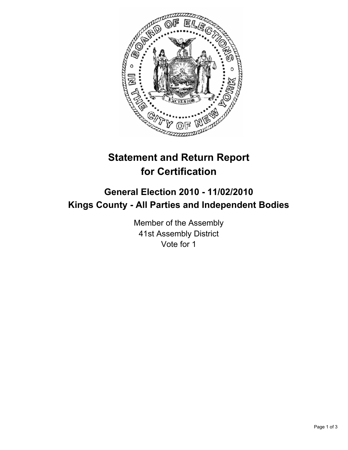

## **Statement and Return Report for Certification**

## **General Election 2010 - 11/02/2010 Kings County - All Parties and Independent Bodies**

Member of the Assembly 41st Assembly District Vote for 1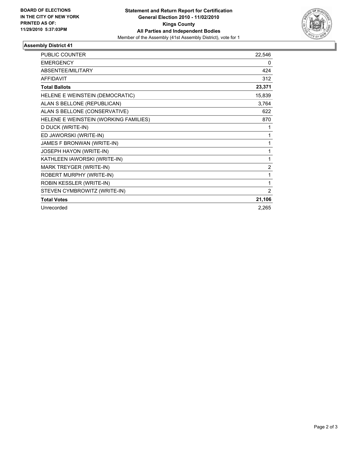

## **Assembly District 41**

| <b>PUBLIC COUNTER</b>                 | 22,546         |
|---------------------------------------|----------------|
| <b>EMERGENCY</b>                      | 0              |
| ABSENTEE/MILITARY                     | 424            |
| <b>AFFIDAVIT</b>                      | 312            |
| <b>Total Ballots</b>                  | 23,371         |
| HELENE E WEINSTEIN (DEMOCRATIC)       | 15,839         |
| ALAN S BELLONE (REPUBLICAN)           | 3,764          |
| ALAN S BELLONE (CONSERVATIVE)         | 622            |
| HELENE E WEINSTEIN (WORKING FAMILIES) | 870            |
| D DUCK (WRITE-IN)                     | 1              |
| ED JAWORSKI (WRITE-IN)                | 1              |
| JAMES F BRONWAN (WRITE-IN)            | 1              |
| JOSEPH HAYON (WRITE-IN)               | 1              |
| KATHLEEN IAWORSKI (WRITE-IN)          | 1              |
| MARK TREYGER (WRITE-IN)               | $\overline{2}$ |
| ROBERT MURPHY (WRITE-IN)              | 1              |
| ROBIN KESSLER (WRITE-IN)              | 1              |
| STEVEN CYMBROWITZ (WRITE-IN)          | 2              |
| <b>Total Votes</b>                    | 21,106         |
| Unrecorded                            | 2,265          |